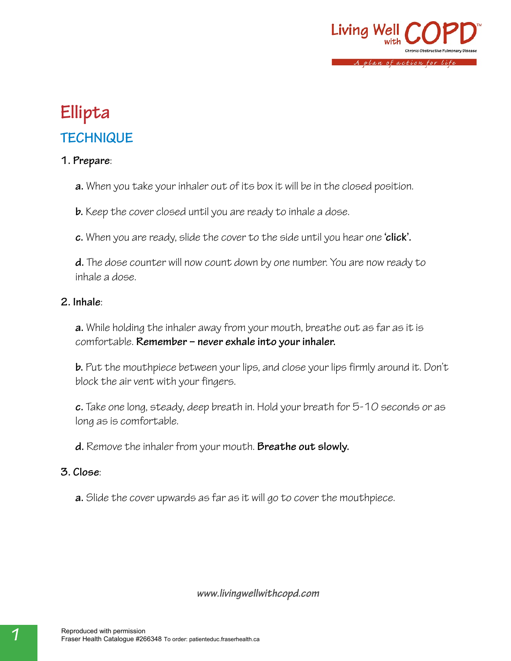

## **Ellipta TECHNIQUE**

### **1. Prepare**:

**a.** When you take your inhaler out of its box it will be in the closed position.

**b.** Keep the cover closed until you are ready to inhale a dose.

**c.** When you are ready, slide the cover to the side until you hear one **'click'.**

**d.** The dose counter will now count down by one number. You are now ready to inhale a dose.

#### **2. Inhale**:

**a.** While holding the inhaler away from your mouth, breathe out as far as it is comfortable. **Remember – never exhale into your inhaler.**

**b.** Put the mouthpiece between your lips, and close your lips firmly around it. Don't block the air vent with your fingers.

**c.** Take one long, steady, deep breath in. Hold your breath for 5-10 seconds or as long as is comfortable.

**d.** Remove the inhaler from your mouth. **Breathe out slowly.**

#### **3. Close**:

**a.** Slide the cover upwards as far as it will go to cover the mouthpiece.

*www.livingwellwithcopd.com*